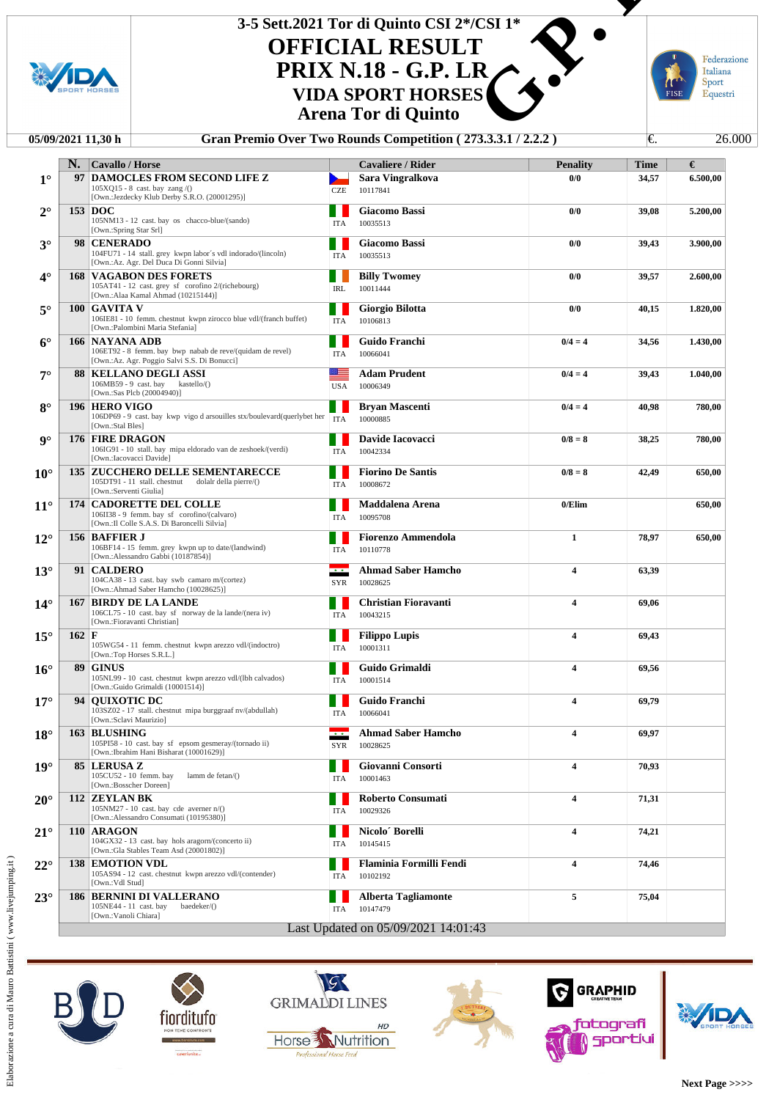

## **OFFICIAL RESULT PRIX N.18 - G.P. LR 3-5 Sett.2021 Tor di Quinto CSI 2\*/CSI 1\* VIDA SPORT HORSES Example 12 and 14**<br> **C.S. LATER**<br> **S.** S. LATER FOR FORE FORE EQ.<br> **C.** 13.3.3.3.1/2.2.2.2)

**Arena Tor di Quinto**

## **05/09/2021 11,30 h Gran Premio Over Two Rounds Competition ( 273.3.3.1 / 2.2.2 )** €. 26.000

|                      | N.              | Cavallo / Horse                                                                                   |                | <b>Cavaliere / Rider</b>                                                        | <b>Penality</b>         | <b>Time</b> | €        |
|----------------------|-----------------|---------------------------------------------------------------------------------------------------|----------------|---------------------------------------------------------------------------------|-------------------------|-------------|----------|
| $1^{\circ}$          | 97              | <b>DAMOCLES FROM SECOND LIFE Z</b>                                                                |                | Sara Vingralkova                                                                | 0/0                     | 34,57       | 6.500,00 |
|                      |                 | $105XQ15 - 8$ cast. bay zang /()<br>[Own.:Jezdecky Klub Derby S.R.O. (20001295)]                  | <b>CZE</b>     | 10117841                                                                        |                         |             |          |
| $2^{\circ}$          |                 | 153 DOC                                                                                           |                | <b>Giacomo Bassi</b>                                                            | 0/0                     | 39,08       | 5.200,00 |
|                      |                 | 105NM13 - 12 cast. bay os chacco-blue/(sando)                                                     | <b>ITA</b>     | 10035513                                                                        |                         |             |          |
|                      |                 | [Own.:Spring Star Srl]                                                                            |                |                                                                                 |                         |             |          |
| $3^\circ$            |                 | 98 CENERADO<br>104FU71 - 14 stall. grey kwpn labor's vdl indorado/(lincoln)                       | <b>ITA</b>     | <b>Giacomo Bassi</b><br>10035513                                                | 0/0                     | 39,43       | 3.900,00 |
|                      |                 | [Own.:Az. Agr. Del Duca Di Gonni Silvia]                                                          |                |                                                                                 |                         |             |          |
| $4^\circ$            |                 | <b>168 VAGABON DES FORETS</b>                                                                     |                | <b>Billy Twomey</b>                                                             | 0/0                     | 39,57       | 2.600,00 |
|                      |                 | 105AT41 - 12 cast. grey sf corofino 2/(richebourg)<br>[Own.:Alaa Kamal Ahmad (10215144)]          | IRL            | 10011444                                                                        |                         |             |          |
| $5^\circ$            |                 | 100   GAVITA V                                                                                    |                | Giorgio Bilotta                                                                 | 0/0                     | 40,15       | 1.820,00 |
|                      |                 | 106IE81 - 10 femm. chestnut kwpn zirocco blue vdl/(franch buffet)                                 | <b>ITA</b>     | 10106813                                                                        |                         |             |          |
|                      |                 | [Own.:Palombini Maria Stefania]<br><b>166 NAYANA ADB</b>                                          |                | Guido Franchi                                                                   |                         |             |          |
| $6^{\circ}$          |                 | 106ET92 - 8 femm. bay bwp nabab de reve/(quidam de revel)                                         | <b>ITA</b>     | 10066041                                                                        | $0/4 = 4$               | 34,56       | 1.430,00 |
|                      |                 | [Own.:Az. Agr. Poggio Salvi S.S. Di Bonucci]                                                      |                |                                                                                 |                         |             |          |
| $7^{\circ}$          |                 | <b>88   KELLANO DEGLI ASSI</b>                                                                    | ≝              | <b>Adam Prudent</b>                                                             | $0/4 = 4$               | 39,43       | 1.040,00 |
|                      |                 | $106MB59 - 9$ cast. bay kastello/()<br>[Own.:Sas Plcb (20004940)]                                 | <b>USA</b>     | 10006349                                                                        |                         |             |          |
| $8^{\circ}$          |                 | 196 HERO VIGO                                                                                     |                | <b>Bryan Mascenti</b>                                                           | $0/4 = 4$               | 40,98       | 780,00   |
|                      |                 | 106DP69 - 9 cast. bay kwp vigo d arsouilles stx/boulevard(querlybet her<br>[Own.:Stal Bles]       | <b>ITA</b>     | 10000885                                                                        |                         |             |          |
| $\mathbf{Q}^{\circ}$ |                 | <b>176 FIRE DRAGON</b>                                                                            |                | Davide Iacovacci                                                                | $0/8 = 8$               | 38,25       | 780,00   |
|                      |                 | 106IG91 - 10 stall. bay mipa eldorado van de zeshoek/(verdi)                                      | <b>ITA</b>     | 10042334                                                                        |                         |             |          |
|                      |                 | [Own.:Iacovacci Davide]                                                                           |                |                                                                                 |                         |             |          |
| $10^{\circ}$         |                 | <b>135 ZUCCHERO DELLE SEMENTARECCE</b><br>105DT91 - 11 stall. chestnut dolalr della pierre/()     |                | <b>Fiorino De Santis</b>                                                        | $0/8 = 8$               | 42,49       | 650,00   |
|                      |                 | [Own.:Serventi Giulia]                                                                            | <b>ITA</b>     | 10008672                                                                        |                         |             |          |
| $11^{\circ}$         |                 | <b>174 CADORETTE DEL COLLE</b>                                                                    |                | Maddalena Arena                                                                 | 0/Elim                  |             | 650,00   |
|                      |                 | 106II38 - 9 femm. bay sf corofino/(calvaro)<br>[Own.: Il Colle S.A.S. Di Baroncelli Silvia]       | <b>ITA</b>     | 10095708                                                                        |                         |             |          |
| $12^{\circ}$         |                 | <b>156 BAFFIER J</b>                                                                              |                | <b>Fiorenzo Ammendola</b>                                                       | $\mathbf{1}$            | 78,97       | 650,00   |
|                      |                 | 106BF14 - 15 femm. grey kwpn up to date/(landwind)                                                | <b>ITA</b>     | 10110778                                                                        |                         |             |          |
|                      |                 | [Own.:Alessandro Gabbi (10187854)]                                                                |                |                                                                                 |                         |             |          |
| $13^\circ$           |                 | 91   CALDERO<br>104CA38 - 13 cast. bay swb camaro m/(cortez)                                      | $\overline{1}$ | <b>Ahmad Saber Hamcho</b><br>10028625                                           | $\overline{\mathbf{4}}$ | 63,39       |          |
|                      |                 | [Own.:Ahmad Saber Hamcho (10028625)]                                                              | <b>SYR</b>     |                                                                                 |                         |             |          |
| $14^{\circ}$         |                 | <b>167 BIRDY DE LA LANDE</b>                                                                      |                | <b>Christian Fioravanti</b>                                                     | $\overline{\mathbf{4}}$ | 69,06       |          |
|                      |                 | 106CL75 - 10 cast. bay sf norway de la lande/(nera iv)<br>[Own.:Fioravanti Christian]             | <b>ITA</b>     | 10043215                                                                        |                         |             |          |
| $15^{\circ}$         | $162 \text{ F}$ |                                                                                                   |                | <b>Filippo Lupis</b>                                                            | 4                       | 69,43       |          |
|                      |                 | 105WG54 - 11 femm. chestnut kwpn arezzo vdl/(indoctro)                                            | ITA            | 10001311                                                                        |                         |             |          |
|                      |                 | [Own.:Top Horses S.R.L.]                                                                          |                |                                                                                 |                         |             |          |
| $16^{\circ}$         |                 | <b>89 GINUS</b><br>105NL99 - 10 cast. chestnut kwpn arezzo vdl/(lbh calvados)                     | <b>ITA</b>     | Guido Grimaldi<br>10001514                                                      | $\overline{\mathbf{4}}$ | 69,56       |          |
|                      |                 | [Own.:Guido Grimaldi (10001514)]                                                                  |                |                                                                                 |                         |             |          |
| $17^{\circ}$         |                 | 94   QUIXOTIC DC<br>103SZ02 - 17 stall. chestnut mipa burggraaf nv/(abdullah)                     |                | Guido Franchi                                                                   | $\overline{\mathbf{4}}$ | 69,79       |          |
|                      |                 | [Own.:Sclavi Maurizio]                                                                            | <b>ITA</b>     | 10066041                                                                        |                         |             |          |
| $18^{\circ}$         |                 | 163 BLUSHING                                                                                      |                | $\overline{\phantom{a} \cdot \phantom{a} \cdot \phantom{a}}$ Ahmad Saber Hamcho | 4                       | 69,97       |          |
|                      |                 | 105PI58 - 10 cast. bay sf epsom gesmeray/(tornado ii)<br>[Own.: Ibrahim Hani Bisharat (10001629)] | SYR            | 10028625                                                                        |                         |             |          |
| $19^\circ$           |                 | 85 LERUSA Z                                                                                       |                | Giovanni Consorti                                                               | 4                       | 70,93       |          |
|                      |                 | 105CU52 - 10 femm. bay<br>lamm de fetan $($ )                                                     | <b>ITA</b>     | 10001463                                                                        |                         |             |          |
|                      |                 | [Own.:Bosscher Doreen]                                                                            |                |                                                                                 |                         |             |          |
| $20^{\circ}$         |                 | 112 ZEYLAN BK<br>$105NM27 - 10$ cast. bay cde averner n/()                                        |                | <b>Roberto Consumati</b>                                                        | $\overline{\mathbf{4}}$ | 71,31       |          |
|                      |                 | [Own.:Alessandro Consumati (10195380)]                                                            | ITA            | 10029326                                                                        |                         |             |          |
| $21^{\circ}$         |                 | 110 ARAGON                                                                                        |                | Nicolo' Borelli                                                                 | 4                       | 74,21       |          |
|                      |                 | 104GX32 - 13 cast. bay hols aragorn/(concerto ii)<br>[Own.:Gla Stables Team Asd (20001802)]       | ITA            | 10145415                                                                        |                         |             |          |
| $22^{\circ}$         |                 | <b>138 EMOTION VDL</b>                                                                            |                | <b>Flaminia Formilli Fendi</b>                                                  | 4                       | 74,46       |          |
|                      |                 | 105AS94 - 12 cast. chestnut kwpn arezzo vdl/(contender)                                           | <b>ITA</b>     | 10102192                                                                        |                         |             |          |
|                      |                 | [Own.:Vdl Stud]                                                                                   |                |                                                                                 |                         |             |          |
| $23^\circ$           |                 | <b>186 BERNINI DI VALLERANO</b><br>105NE44 - 11 cast. bay<br>baedeker/()                          | <b>ITA</b>     | <b>Alberta Tagliamonte</b><br>10147479                                          | 5                       | 75,04       |          |
|                      |                 | [Own.:Vanoli Chiara]                                                                              |                |                                                                                 |                         |             |          |
|                      |                 |                                                                                                   |                | Last Updated on 05/09/2021 14:01:43                                             |                         |             |          |